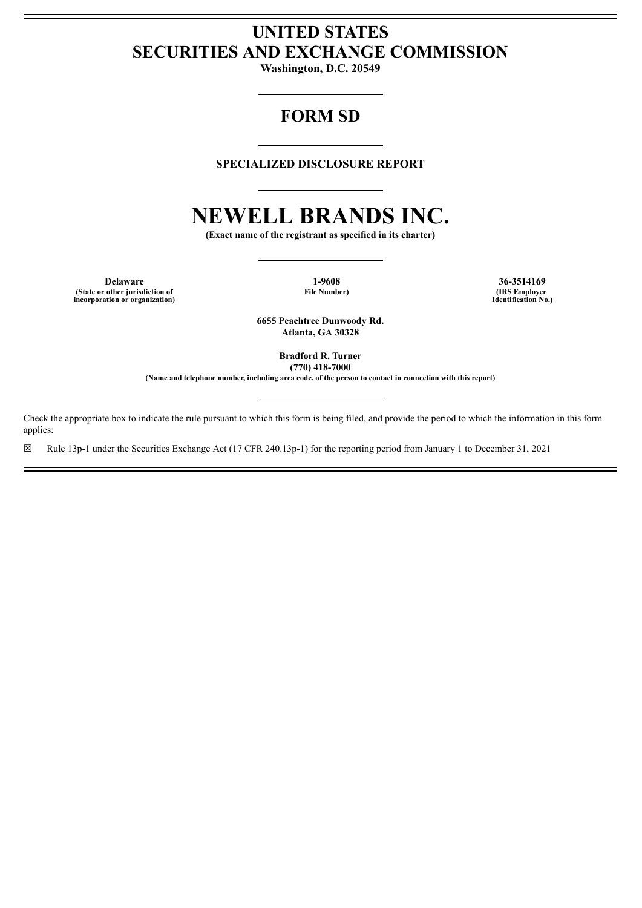# **UNITED STATES SECURITIES AND EXCHANGE COMMISSION**

**Washington, D.C. 20549**

# **FORM SD**

# **SPECIALIZED DISCLOSURE REPORT**

# **NEWELL BRANDS INC.**

**(Exact name of the registrant as specified in its charter)**

**Delaware 1-9608 36-3514169 (State or other jurisdiction of incorporation or organization)**

**File Number) (IRS Employer Identification No.)**

**6655 Peachtree Dunwoody Rd. Atlanta, GA 30328**

> **Bradford R. Turner (770) 418-7000**

**(Name and telephone number, including area code, of the person to contact in connection with this report)**

Check the appropriate box to indicate the rule pursuant to which this form is being filed, and provide the period to which the information in this form applies:

☒ Rule 13p-1 under the Securities Exchange Act (17 CFR 240.13p-1) for the reporting period from January 1 to December 31, 2021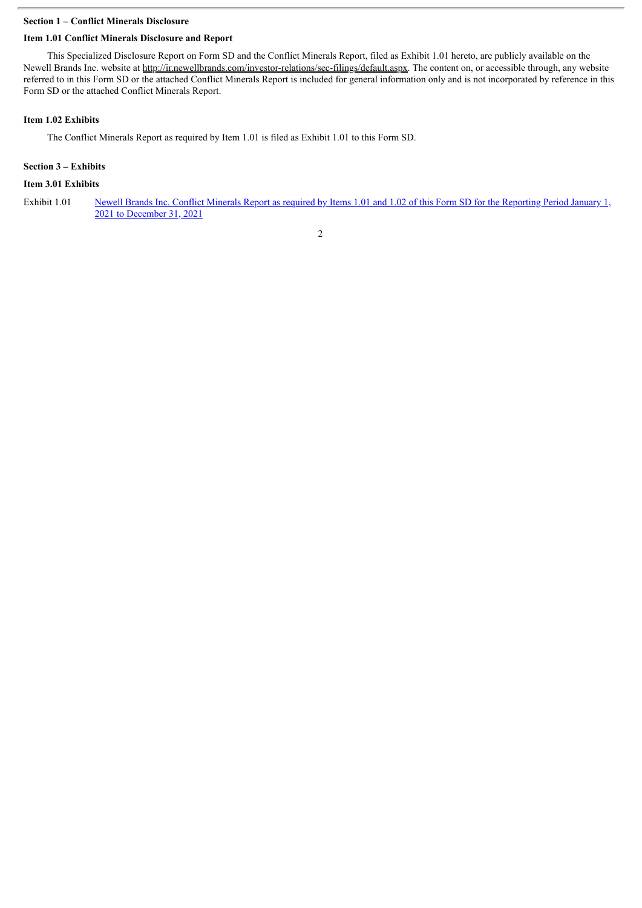## **Section 1 – Conflict Minerals Disclosure**

# **Item 1.01 Conflict Minerals Disclosure and Report**

This Specialized Disclosure Report on Form SD and the Conflict Minerals Report, filed as Exhibit 1.01 hereto, are publicly available on the Newell Brands Inc. website at http://ir.newellbrands.com/investor-relations/sec-filings/default.aspx. The content on, or accessible through, any website referred to in this Form SD or the attached Conflict Minerals Report is included for general information only and is not incorporated by reference in this Form SD or the attached Conflict Minerals Report.

# **Item 1.02 Exhibits**

The Conflict Minerals Report as required by Item 1.01 is filed as Exhibit 1.01 to this Form SD.

# **Section 3 – Exhibits**

# **Item 3.01 Exhibits**

Exhibit 1.01 Newell Brands Inc. Conflict Minerals Report as required by Items 1.01 and 1.02 of this Form SD for the Reporting Period January 1, 2021 to [December](#page-3-0) 31, 2021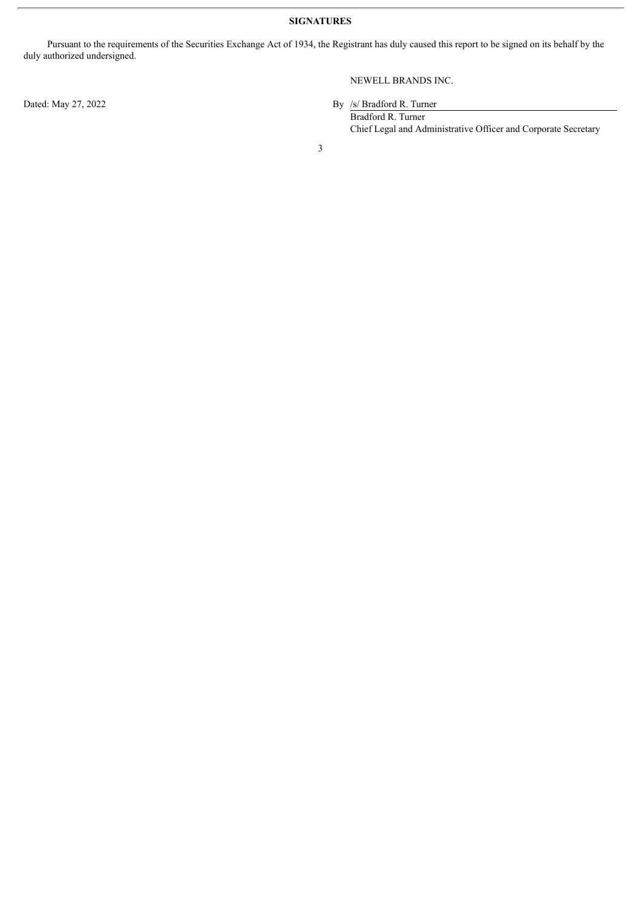**SIGNATURES**

Pursuant to the requirements of the Securities Exchange Act of 1934, the Registrant has duly caused this report to be signed on its behalf by the duly authorized undersigned.

# NEWELL BRANDS INC.

Dated: May 27, 2022 By /s/ Bradford R. Turner

Bradford R. Turner Chief Legal and Administrative Officer and Corporate Secretary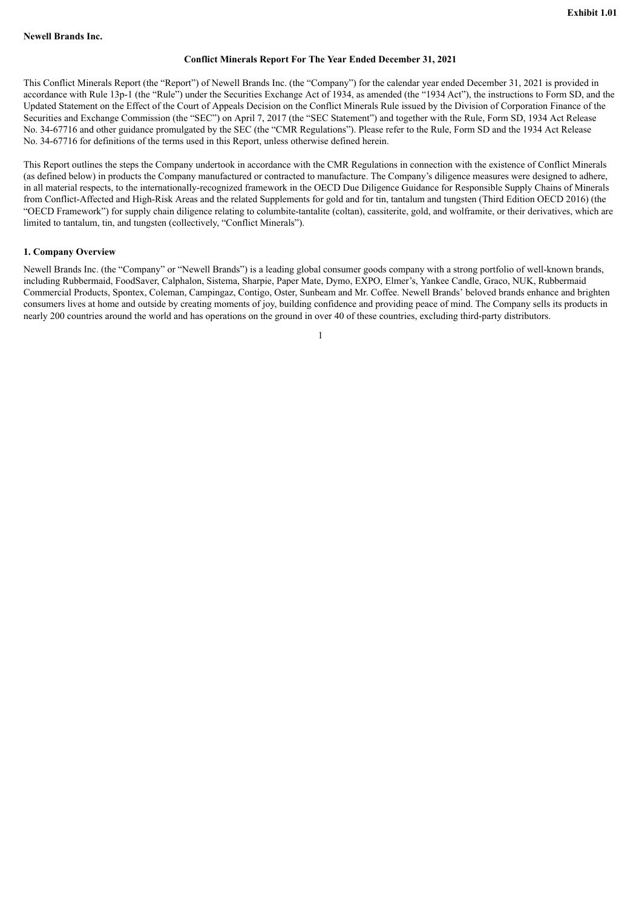#### **Conflict Minerals Report For The Year Ended December 31, 2021**

<span id="page-3-0"></span>This Conflict Minerals Report (the "Report") of Newell Brands Inc. (the "Company") for the calendar year ended December 31, 2021 is provided in accordance with Rule 13p-1 (the "Rule") under the Securities Exchange Act of 1934, as amended (the "1934 Act"), the instructions to Form SD, and the Updated Statement on the Effect of the Court of Appeals Decision on the Conflict Minerals Rule issued by the Division of Corporation Finance of the Securities and Exchange Commission (the "SEC") on April 7, 2017 (the "SEC Statement") and together with the Rule, Form SD, 1934 Act Release No. 34-67716 and other guidance promulgated by the SEC (the "CMR Regulations"). Please refer to the Rule, Form SD and the 1934 Act Release No. 34-67716 for definitions of the terms used in this Report, unless otherwise defined herein.

This Report outlines the steps the Company undertook in accordance with the CMR Regulations in connection with the existence of Conflict Minerals (as defined below) in products the Company manufactured or contracted to manufacture. The Company's diligence measures were designed to adhere, in all material respects, to the internationally-recognized framework in the OECD Due Diligence Guidance for Responsible Supply Chains of Minerals from Conflict-Affected and High-Risk Areas and the related Supplements for gold and for tin, tantalum and tungsten (Third Edition OECD 2016) (the "OECD Framework") for supply chain diligence relating to columbite-tantalite (coltan), cassiterite, gold, and wolframite, or their derivatives, which are limited to tantalum, tin, and tungsten (collectively, "Conflict Minerals").

#### **1. Company Overview**

Newell Brands Inc. (the "Company" or "Newell Brands") is a leading global consumer goods company with a strong portfolio of well-known brands, including Rubbermaid, FoodSaver, Calphalon, Sistema, Sharpie, Paper Mate, Dymo, EXPO, Elmer's, Yankee Candle, Graco, NUK, Rubbermaid Commercial Products, Spontex, Coleman, Campingaz, Contigo, Oster, Sunbeam and Mr. Coffee. Newell Brands' beloved brands enhance and brighten consumers lives at home and outside by creating moments of joy, building confidence and providing peace of mind. The Company sells its products in nearly 200 countries around the world and has operations on the ground in over 40 of these countries, excluding third-party distributors.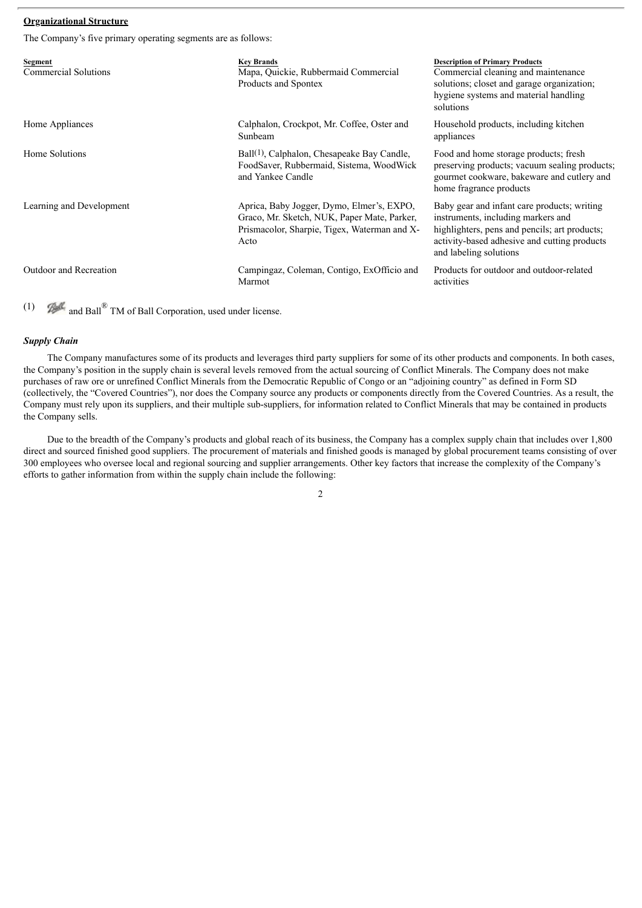# **Organizational Structure**

The Company's five primary operating segments are as follows:

| Segment<br>Commercial Solutions | <b>Key Brands</b><br>Mapa, Quickie, Rubbermaid Commercial<br>Products and Spontex                                                                | <b>Description of Primary Products</b><br>Commercial cleaning and maintenance<br>solutions; closet and garage organization;<br>hygiene systems and material handling<br>solutions                            |
|---------------------------------|--------------------------------------------------------------------------------------------------------------------------------------------------|--------------------------------------------------------------------------------------------------------------------------------------------------------------------------------------------------------------|
| Home Appliances                 | Calphalon, Crockpot, Mr. Coffee, Oster and<br>Sunbeam                                                                                            | Household products, including kitchen<br>appliances                                                                                                                                                          |
| Home Solutions                  | Ball <sup>(1)</sup> , Calphalon, Chesapeake Bay Candle,<br>FoodSaver, Rubbermaid, Sistema, WoodWick<br>and Yankee Candle                         | Food and home storage products; fresh<br>preserving products; vacuum sealing products;<br>gourmet cookware, bakeware and cutlery and<br>home fragrance products                                              |
| Learning and Development        | Aprica, Baby Jogger, Dymo, Elmer's, EXPO,<br>Graco, Mr. Sketch, NUK, Paper Mate, Parker,<br>Prismacolor, Sharpie, Tigex, Waterman and X-<br>Acto | Baby gear and infant care products; writing<br>instruments, including markers and<br>highlighters, pens and pencils; art products;<br>activity-based adhesive and cutting products<br>and labeling solutions |
| Outdoor and Recreation          | Campingaz, Coleman, Contigo, ExOfficio and<br>Marmot                                                                                             | Products for outdoor and outdoor-related<br>activities                                                                                                                                                       |

(1) and Ball  $^{\circledR}$  TM of Ball Corporation, used under license.

#### *Supply Chain*

The Company manufactures some of its products and leverages third party suppliers for some of its other products and components. In both cases, the Company's position in the supply chain is several levels removed from the actual sourcing of Conflict Minerals. The Company does not make purchases of raw ore or unrefined Conflict Minerals from the Democratic Republic of Congo or an "adjoining country" as defined in Form SD (collectively, the "Covered Countries"), nor does the Company source any products or components directly from the Covered Countries. As a result, the Company must rely upon its suppliers, and their multiple sub-suppliers, for information related to Conflict Minerals that may be contained in products the Company sells.

Due to the breadth of the Company's products and global reach of its business, the Company has a complex supply chain that includes over 1,800 direct and sourced finished good suppliers. The procurement of materials and finished goods is managed by global procurement teams consisting of over 300 employees who oversee local and regional sourcing and supplier arrangements. Other key factors that increase the complexity of the Company's efforts to gather information from within the supply chain include the following:

 $\overline{2}$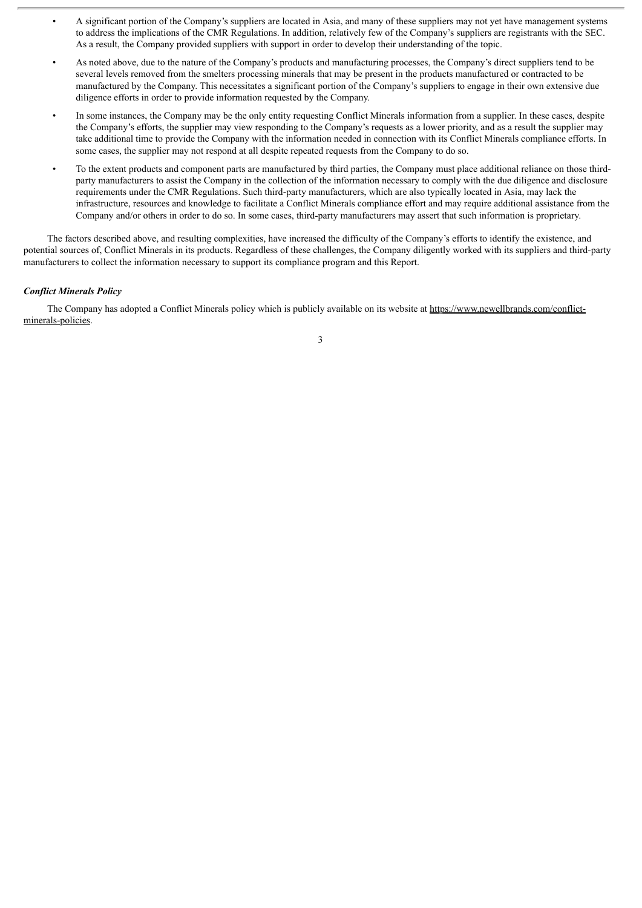- A significant portion of the Company's suppliers are located in Asia, and many of these suppliers may not yet have management systems to address the implications of the CMR Regulations. In addition, relatively few of the Company's suppliers are registrants with the SEC. As a result, the Company provided suppliers with support in order to develop their understanding of the topic.
- As noted above, due to the nature of the Company's products and manufacturing processes, the Company's direct suppliers tend to be several levels removed from the smelters processing minerals that may be present in the products manufactured or contracted to be manufactured by the Company. This necessitates a significant portion of the Company's suppliers to engage in their own extensive due diligence efforts in order to provide information requested by the Company.
- In some instances, the Company may be the only entity requesting Conflict Minerals information from a supplier. In these cases, despite the Company's efforts, the supplier may view responding to the Company's requests as a lower priority, and as a result the supplier may take additional time to provide the Company with the information needed in connection with its Conflict Minerals compliance efforts. In some cases, the supplier may not respond at all despite repeated requests from the Company to do so.
- To the extent products and component parts are manufactured by third parties, the Company must place additional reliance on those thirdparty manufacturers to assist the Company in the collection of the information necessary to comply with the due diligence and disclosure requirements under the CMR Regulations. Such third-party manufacturers, which are also typically located in Asia, may lack the infrastructure, resources and knowledge to facilitate a Conflict Minerals compliance effort and may require additional assistance from the Company and/or others in order to do so. In some cases, third-party manufacturers may assert that such information is proprietary.

The factors described above, and resulting complexities, have increased the difficulty of the Company's efforts to identify the existence, and potential sources of, Conflict Minerals in its products. Regardless of these challenges, the Company diligently worked with its suppliers and third-party manufacturers to collect the information necessary to support its compliance program and this Report.

### *Conflict Minerals Policy*

The Company has adopted a Conflict Minerals policy which is publicly available on its website at https://www.newellbrands.com/conflictminerals-policies.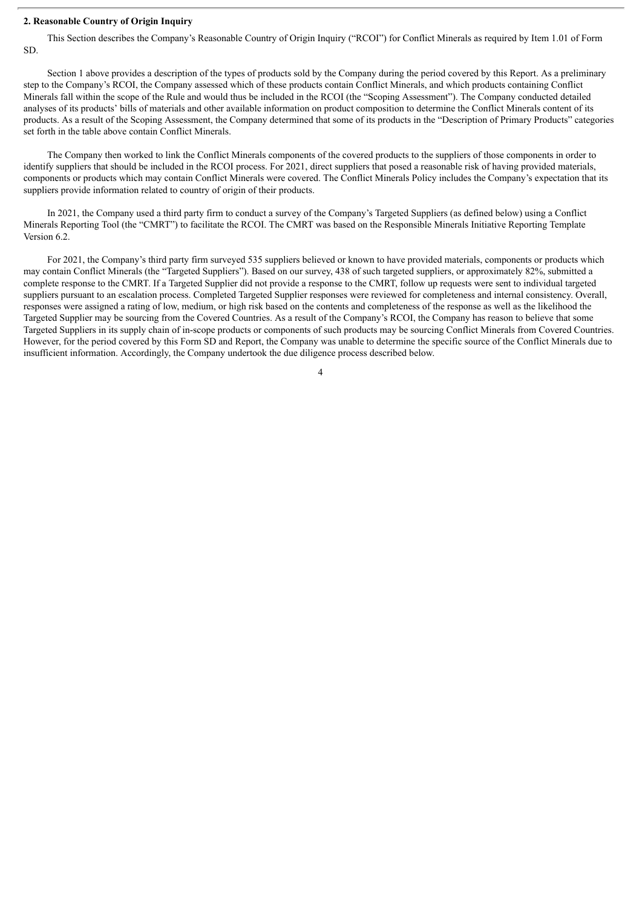#### **2. Reasonable Country of Origin Inquiry**

This Section describes the Company's Reasonable Country of Origin Inquiry ("RCOI") for Conflict Minerals as required by Item 1.01 of Form SD.

Section 1 above provides a description of the types of products sold by the Company during the period covered by this Report. As a preliminary step to the Company's RCOI, the Company assessed which of these products contain Conflict Minerals, and which products containing Conflict Minerals fall within the scope of the Rule and would thus be included in the RCOI (the "Scoping Assessment"). The Company conducted detailed analyses of its products' bills of materials and other available information on product composition to determine the Conflict Minerals content of its products. As a result of the Scoping Assessment, the Company determined that some of its products in the "Description of Primary Products" categories set forth in the table above contain Conflict Minerals.

The Company then worked to link the Conflict Minerals components of the covered products to the suppliers of those components in order to identify suppliers that should be included in the RCOI process. For 2021, direct suppliers that posed a reasonable risk of having provided materials, components or products which may contain Conflict Minerals were covered. The Conflict Minerals Policy includes the Company's expectation that its suppliers provide information related to country of origin of their products.

In 2021, the Company used a third party firm to conduct a survey of the Company's Targeted Suppliers (as defined below) using a Conflict Minerals Reporting Tool (the "CMRT") to facilitate the RCOI. The CMRT was based on the Responsible Minerals Initiative Reporting Template Version 6.2.

For 2021, the Company's third party firm surveyed 535 suppliers believed or known to have provided materials, components or products which may contain Conflict Minerals (the "Targeted Suppliers"). Based on our survey, 438 of such targeted suppliers, or approximately 82%, submitted a complete response to the CMRT. If a Targeted Supplier did not provide a response to the CMRT, follow up requests were sent to individual targeted suppliers pursuant to an escalation process. Completed Targeted Supplier responses were reviewed for completeness and internal consistency. Overall, responses were assigned a rating of low, medium, or high risk based on the contents and completeness of the response as well as the likelihood the Targeted Supplier may be sourcing from the Covered Countries. As a result of the Company's RCOI, the Company has reason to believe that some Targeted Suppliers in its supply chain of in-scope products or components of such products may be sourcing Conflict Minerals from Covered Countries. However, for the period covered by this Form SD and Report, the Company was unable to determine the specific source of the Conflict Minerals due to insufficient information. Accordingly, the Company undertook the due diligence process described below.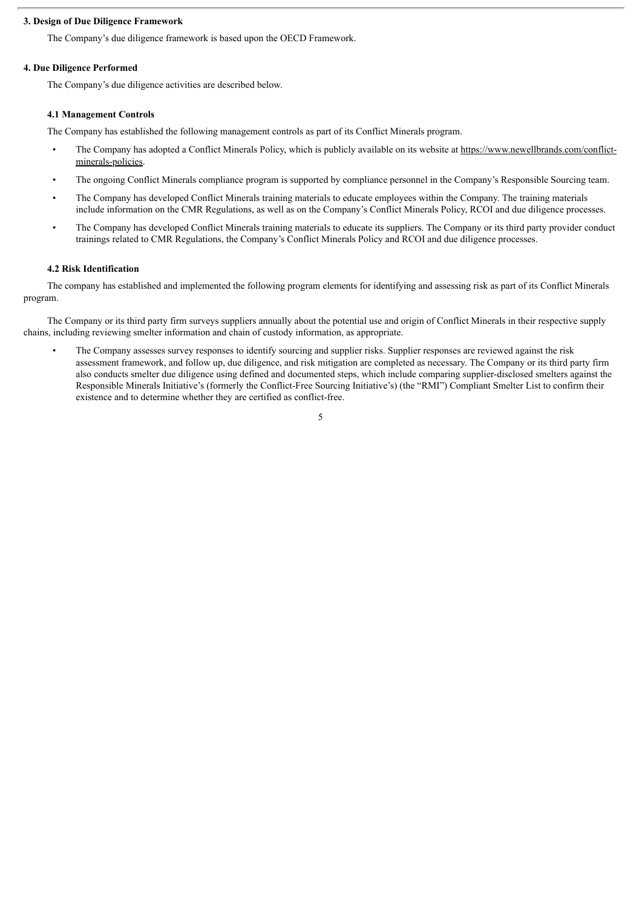## **3. Design of Due Diligence Framework**

The Company's due diligence framework is based upon the OECD Framework.

#### **4. Due Diligence Performed**

The Company's due diligence activities are described below.

#### **4.1 Management Controls**

The Company has established the following management controls as part of its Conflict Minerals program.

- The Company has adopted a Conflict Minerals Policy, which is publicly available on its website at https://www.newellbrands.com/conflictminerals-policies.
- The ongoing Conflict Minerals compliance program is supported by compliance personnel in the Company's Responsible Sourcing team.
- The Company has developed Conflict Minerals training materials to educate employees within the Company. The training materials include information on the CMR Regulations, as well as on the Company's Conflict Minerals Policy, RCOI and due diligence processes.
- The Company has developed Conflict Minerals training materials to educate its suppliers. The Company or its third party provider conduct trainings related to CMR Regulations, the Company's Conflict Minerals Policy and RCOI and due diligence processes.

#### **4.2 Risk Identification**

The company has established and implemented the following program elements for identifying and assessing risk as part of its Conflict Minerals program.

The Company or its third party firm surveys suppliers annually about the potential use and origin of Conflict Minerals in their respective supply chains, including reviewing smelter information and chain of custody information, as appropriate.

• The Company assesses survey responses to identify sourcing and supplier risks. Supplier responses are reviewed against the risk assessment framework, and follow up, due diligence, and risk mitigation are completed as necessary. The Company or its third party firm also conducts smelter due diligence using defined and documented steps, which include comparing supplier-disclosed smelters against the Responsible Minerals Initiative's (formerly the Conflict-Free Sourcing Initiative's) (the "RMI") Compliant Smelter List to confirm their existence and to determine whether they are certified as conflict-free.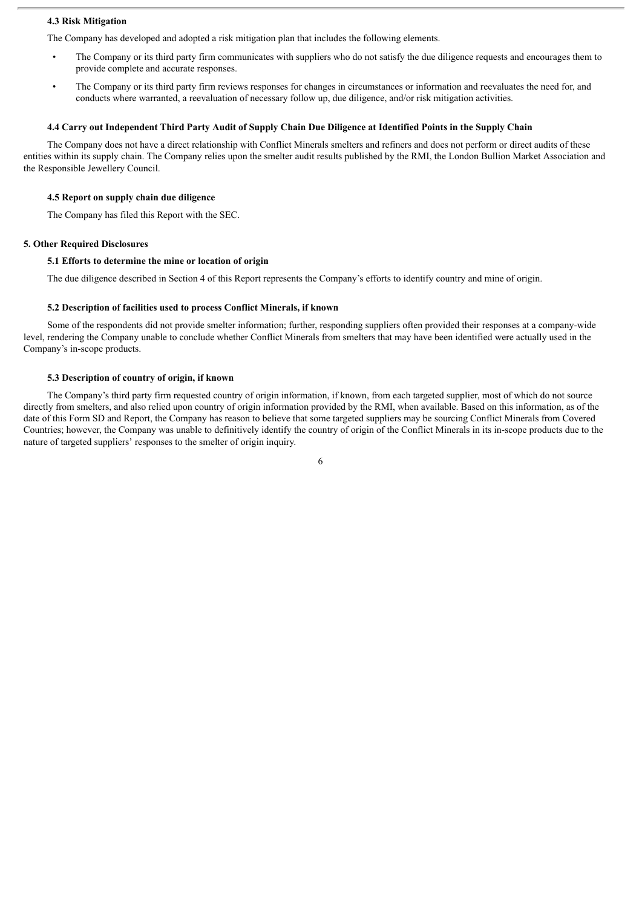#### **4.3 Risk Mitigation**

The Company has developed and adopted a risk mitigation plan that includes the following elements.

- The Company or its third party firm communicates with suppliers who do not satisfy the due diligence requests and encourages them to provide complete and accurate responses.
- The Company or its third party firm reviews responses for changes in circumstances or information and reevaluates the need for, and conducts where warranted, a reevaluation of necessary follow up, due diligence, and/or risk mitigation activities.

#### 4.4 Carry out Independent Third Party Audit of Supply Chain Due Diligence at Identified Points in the Supply Chain

The Company does not have a direct relationship with Conflict Minerals smelters and refiners and does not perform or direct audits of these entities within its supply chain. The Company relies upon the smelter audit results published by the RMI, the London Bullion Market Association and the Responsible Jewellery Council.

#### **4.5 Report on supply chain due diligence**

The Company has filed this Report with the SEC.

#### **5. Other Required Disclosures**

#### **5.1 Efforts to determine the mine or location of origin**

The due diligence described in Section 4 of this Report represents the Company's efforts to identify country and mine of origin.

#### **5.2 Description of facilities used to process Conflict Minerals, if known**

Some of the respondents did not provide smelter information; further, responding suppliers often provided their responses at a company-wide level, rendering the Company unable to conclude whether Conflict Minerals from smelters that may have been identified were actually used in the Company's in-scope products.

#### **5.3 Description of country of origin, if known**

The Company's third party firm requested country of origin information, if known, from each targeted supplier, most of which do not source directly from smelters, and also relied upon country of origin information provided by the RMI, when available. Based on this information, as of the date of this Form SD and Report, the Company has reason to believe that some targeted suppliers may be sourcing Conflict Minerals from Covered Countries; however, the Company was unable to definitively identify the country of origin of the Conflict Minerals in its in-scope products due to the nature of targeted suppliers' responses to the smelter of origin inquiry.